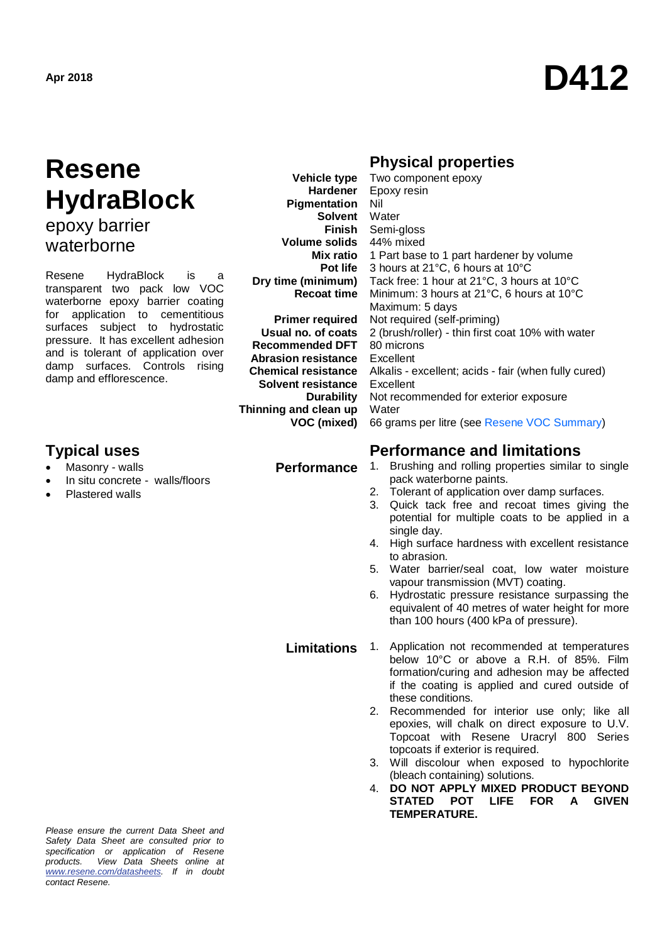# **Apr 2018 D412**

## **Resene HydraBlock** epoxy barrier

waterborne

Resene HydraBlock is transparent two pack low VOC waterborne epoxy barrier coating for application to cementitious surfaces subject to hydrostatic pressure. It has excellent adhesion and is tolerant of application over damp surfaces. Controls rising damp and efflorescence.

### **Typical uses Performance and limitations**

- Masonry walls
- In situ concrete walls/floors
- Plastered walls

**Vehicle type Hardener Pigmentation Solvent Finish Volume solids Mix ratio Pot life Dry time (minimum) Recoat time** 

**Primer required Usual no. of coats Recommended DFT Abrasion resistance Chemical resistance Solvent resistance Durability Thinning and clean up VOC (mixed)**

### **Physical properties**

| Two component epoxy                                  |
|------------------------------------------------------|
| Epoxy resin                                          |
| Nil                                                  |
| Water                                                |
| Semi-gloss                                           |
| 44% mixed                                            |
| 1 Part base to 1 part hardener by volume             |
| 3 hours at 21°C, 6 hours at 10°C                     |
| Tack free: 1 hour at 21°C, 3 hours at 10°C           |
| Minimum: 3 hours at 21°C, 6 hours at 10°C            |
| Maximum: 5 days                                      |
| Not required (self-priming)                          |
| 2 (brush/roller) - thin first coat 10% with water    |
| 80 microns                                           |
| Excellent                                            |
| Alkalis - excellent; acids - fair (when fully cured) |
| Excellent                                            |
| Not recommended for exterior exposure                |
| Water                                                |
| 66 grams per litre (see Resene VOC Summary)          |

- **Performance** 1. Brushing and rolling properties similar to single pack waterborne paints.
	- 2. Tolerant of application over damp surfaces.
	- 3. Quick tack free and recoat times giving the potential for multiple coats to be applied in a single day.
	- 4. High surface hardness with excellent resistance to abrasion.
	- 5. Water barrier/seal coat, low water moisture vapour transmission (MVT) coating.
	- 6. Hydrostatic pressure resistance surpassing the equivalent of 40 metres of water height for more than 100 hours (400 kPa of pressure).

**Limitations** 1. Application not recommended at temperatures below 10°C or above a R.H. of 85%. Film formation/curing and adhesion may be affected if the coating is applied and cured outside of these conditions.

- 2. Recommended for interior use only; like all epoxies, will chalk on direct exposure to U.V. Topcoat with Resene Uracryl 800 Series topcoats if exterior is required.
- 3. Will discolour when exposed to hypochlorite (bleach containing) solutions.
- 4. **DO NOT APPLY MIXED PRODUCT BEYOND STATED POT LIFE FOR A GIVEN TEMPERATURE.**

*Please ensure the current Data Sheet and Safety Data Sheet are consulted prior to specification or application of Resene products. View Data Sheets online at [www.resene.com/datasheets.](http://www.resene.com/datasheets) If in doubt contact Resene.*